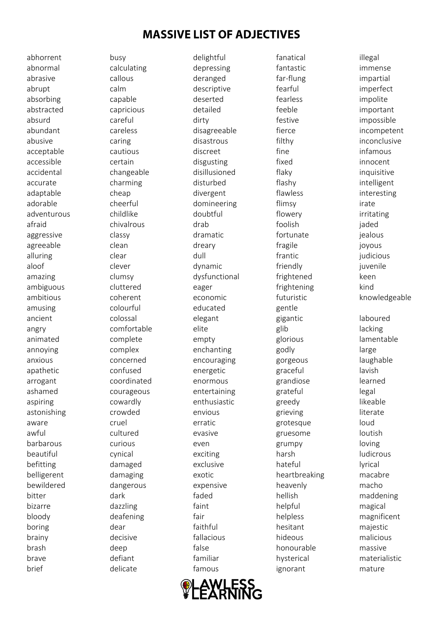## **MASSIVE LIST OF ADJECTIVES**

abhorrent abnormal abrasive abrupt absorbing abstracted absurd abundant abusive acceptable accessible accidental accurate adaptable adorable adventurous afraid aggressive agreeable alluring aloof amazing ambiguous ambitious amusing ancient angry animated annoying anxious apathetic arrogant ashamed aspiring astonishing aware awful barbarous beautiful befitting belligerent bewildered bitter bizarre bloody boring brainy brash brave brief

busy calculating callous calm capable capricious careful careless caring cautious certain changeable charming cheap cheerful childlike chivalrous classy clean clear clever clumsy cluttered coherent colourful colossal comfortable complete complex concerned confused coordinated courageous cowardly crowded cruel cultured curious cynical damaged damaging dangerous dark dazzling deafening dear decisive deep defiant delicate

delightful depressing deranged descriptive deserted detailed dirty disagreeable disastrous discreet disgusting disillusioned disturbed divergent domineering doubtful drab dramatic dreary dull dynamic dysfunctional eager economic educated elegant elite empty enchanting encouraging energetic enormous entertaining enthusiastic envious erratic evasive even exciting exclusive exotic expensive faded faint fair faithful fallacious false familiar famous



fanatical fantastic illegal immense impartial imperfect impolite important impossible incompetent inconclusive infamous innocent inquisitive intelligent interesting irate irritating jaded jealous joyous judicious juvenile keen kind knowledgeable laboured lacking lamentable large laughable lavish learned legal likeable literate loud loutish loving ludicrous lyrical macabre macho maddening magical magnificent majestic malicious massive materialistic mature

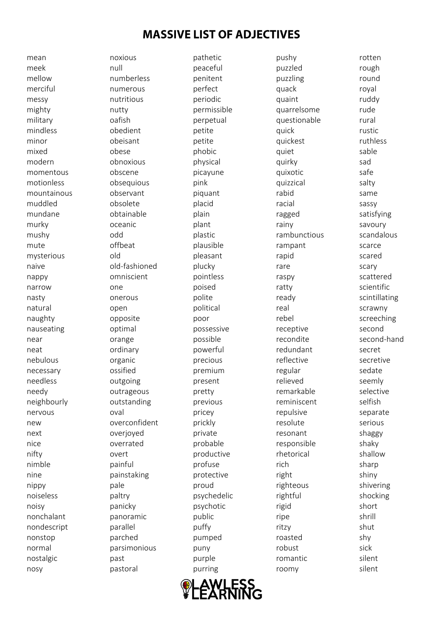## **MASSIVE LIST OF ADJECTIVES**

mean meek mellow merciful messy mighty military mindless minor mixed modern momentous motionless mountainous muddled mundane murky mushy mute mysterious naive nappy narrow nasty natural naughty nauseating near neat nebulous necessary needless needy neighbourly nervous new next nice nifty nimble nine nippy noiseless noisy nonchalant nondescript nonstop normal nostalgic nosy

noxious null numberless numerous nutritious nutty oafish obedient obeisant obese obnoxious obscene obsequious observant obsolete obtainable oceanic odd offbeat old old -fashioned omniscient one onerous open opposite optimal orange ordinary organic ossified outgoing outrageous outstanding oval overconfident overjoyed overrated overt painful painstaking pale paltry panicky panoramic parallel parched parsimonious past pastoral

pathetic peaceful penitent perfect periodic permissible perpetual petite petite phobic physical picayune pink piquant placid plain plant plastic plausible pleasant plucky pointless poised polite political poor possessive possible powerful precious premium present pretty previous pricey prickly private probable productive profuse protective proud psychedelic psychotic public puffy pumped puny purple purring



pushy puzzled puzzling quack quaint quarrelsome questionable quick quickest quiet quirky quixotic quizzical rabid racial ragged rainy rambunctious rampant rapid rare raspy ratty ready real rebel receptive recondite redundant reflective regular relieved remarkable reminiscent repulsive resolute resonant responsible rhetorical rich right righteous rightful rigid ripe ritzy roasted robust romantic roomy

rotten rough round royal ruddy rude rural rustic ruthless sable sad safe salty same sassy satisfying savoury scandalous scarce scared scary scattered scientific scintillating scrawny screeching second second -hand secret secretive sedate seemly selective selfish separate serious shaggy shaky shallow sharp shiny shivering shocking short shrill shut shy sick silent silent